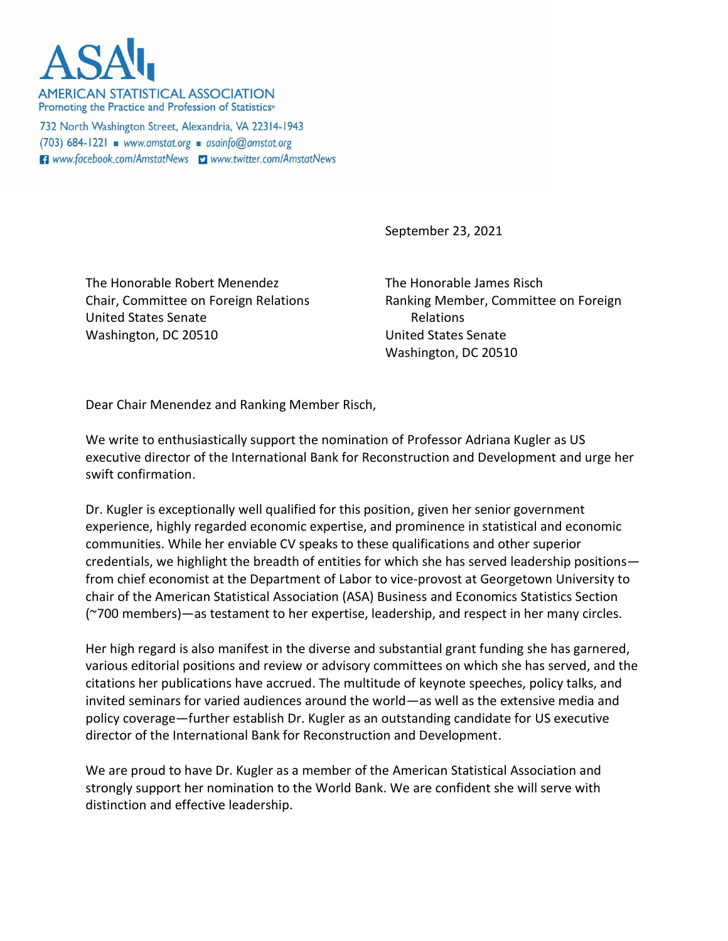

**AMERICAN STATISTICAL ASSOCIATION** Promoting the Practice and Profession of Statistics®

732 North Washington Street, Alexandria, VA 22314-1943 (703) 684-1221 · www.amstat.org · asainfo@amstat.org **El** www.facebook.com/AmstatNews **y** www.twitter.com/AmstatNews

September 23, 2021

The Honorable Robert Menendez Chair, Committee on Foreign Relations United States Senate Washington, DC 20510

The Honorable James Risch Ranking Member, Committee on Foreign Relations United States Senate Washington, DC 20510

Dear Chair Menendez and Ranking Member Risch,

We write to enthusiastically support the nomination of Professor Adriana Kugler as US executive director of the International Bank for Reconstruction and Development and urge her swift confirmation.

Dr. Kugler is exceptionally well qualified for this position, given her senior government experience, highly regarded economic expertise, and prominence in statistical and economic communities. While her enviable CV speaks to these qualifications and other superior credentials, we highlight the breadth of entities for which she has served leadership positions from chief economist at the Department of Labor to vice-provost at Georgetown University to chair of the American Statistical Association (ASA) Business and Economics Statistics Section (~700 members)—as testament to her expertise, leadership, and respect in her many circles.

Her high regard is also manifest in the diverse and substantial grant funding she has garnered, various editorial positions and review or advisory committees on which she has served, and the citations her publications have accrued. The multitude of keynote speeches, policy talks, and invited seminars for varied audiences around the world—as well as the extensive media and policy coverage—further establish Dr. Kugler as an outstanding candidate for US executive director of the International Bank for Reconstruction and Development.

We are proud to have Dr. Kugler as a member of the American Statistical Association and strongly support her nomination to the World Bank. We are confident she will serve with distinction and effective leadership.